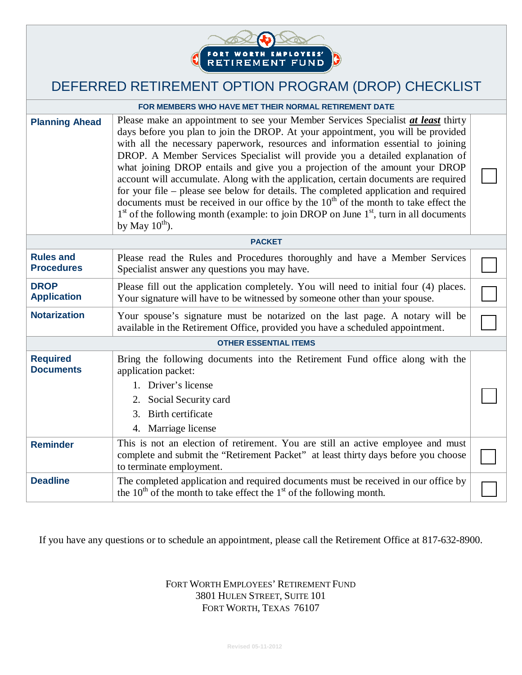

# DEFERRED RETIREMENT OPTION PROGRAM (DROP) CHECKLIST

| FOR MEMBERS WHO HAVE MET THEIR NORMAL RETIREMENT DATE |                                                                                                                                                                                                                                                                                                                                                                                                                                                                                                                                                                                                                                                                                                                                                                                                                        |  |  |  |  |
|-------------------------------------------------------|------------------------------------------------------------------------------------------------------------------------------------------------------------------------------------------------------------------------------------------------------------------------------------------------------------------------------------------------------------------------------------------------------------------------------------------------------------------------------------------------------------------------------------------------------------------------------------------------------------------------------------------------------------------------------------------------------------------------------------------------------------------------------------------------------------------------|--|--|--|--|
| <b>Planning Ahead</b>                                 | Please make an appointment to see your Member Services Specialist at least thirty<br>days before you plan to join the DROP. At your appointment, you will be provided<br>with all the necessary paperwork, resources and information essential to joining<br>DROP. A Member Services Specialist will provide you a detailed explanation of<br>what joining DROP entails and give you a projection of the amount your DROP<br>account will accumulate. Along with the application, certain documents are required<br>for your file – please see below for details. The completed application and required<br>documents must be received in our office by the $10th$ of the month to take effect the<br>$1st$ of the following month (example: to join DROP on June $1st$ , turn in all documents<br>by May $10^{th}$ ). |  |  |  |  |
|                                                       | <b>PACKET</b>                                                                                                                                                                                                                                                                                                                                                                                                                                                                                                                                                                                                                                                                                                                                                                                                          |  |  |  |  |
| <b>Rules and</b><br><b>Procedures</b>                 | Please read the Rules and Procedures thoroughly and have a Member Services<br>Specialist answer any questions you may have.                                                                                                                                                                                                                                                                                                                                                                                                                                                                                                                                                                                                                                                                                            |  |  |  |  |
| <b>DROP</b><br><b>Application</b>                     | Please fill out the application completely. You will need to initial four (4) places.<br>Your signature will have to be witnessed by someone other than your spouse.                                                                                                                                                                                                                                                                                                                                                                                                                                                                                                                                                                                                                                                   |  |  |  |  |
| <b>Notarization</b>                                   | Your spouse's signature must be notarized on the last page. A notary will be<br>available in the Retirement Office, provided you have a scheduled appointment.                                                                                                                                                                                                                                                                                                                                                                                                                                                                                                                                                                                                                                                         |  |  |  |  |
| <b>OTHER ESSENTIAL ITEMS</b>                          |                                                                                                                                                                                                                                                                                                                                                                                                                                                                                                                                                                                                                                                                                                                                                                                                                        |  |  |  |  |
| <b>Required</b><br><b>Documents</b>                   | Bring the following documents into the Retirement Fund office along with the<br>application packet:                                                                                                                                                                                                                                                                                                                                                                                                                                                                                                                                                                                                                                                                                                                    |  |  |  |  |
|                                                       | 1. Driver's license<br>2. Social Security card<br>3. Birth certificate<br>4. Marriage license                                                                                                                                                                                                                                                                                                                                                                                                                                                                                                                                                                                                                                                                                                                          |  |  |  |  |
| <b>Reminder</b>                                       | This is not an election of retirement. You are still an active employee and must<br>complete and submit the "Retirement Packet" at least thirty days before you choose<br>to terminate employment.                                                                                                                                                                                                                                                                                                                                                                                                                                                                                                                                                                                                                     |  |  |  |  |
| <b>Deadline</b>                                       | The completed application and required documents must be received in our office by<br>the 10 <sup>th</sup> of the month to take effect the 1 <sup>st</sup> of the following month.                                                                                                                                                                                                                                                                                                                                                                                                                                                                                                                                                                                                                                     |  |  |  |  |

If you have any questions or to schedule an appointment, please call the Retirement Office at 817-632-8900.

#### FORT WORTH EMPLOYEES' RETIREMENT FUND 3801 HULEN STREET, SUITE 101 FORT WORTH, TEXAS 76107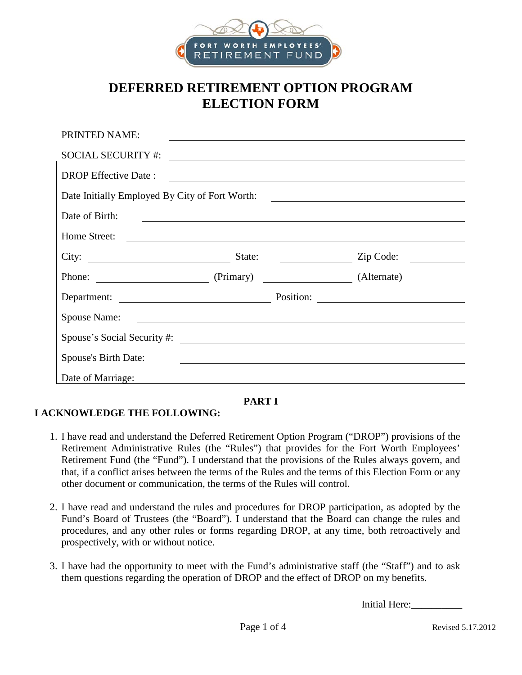

## **DEFERRED RETIREMENT OPTION PROGRAM ELECTION FORM**

| PRINTED NAME:                                                                                                                          |  |             | <u> 1989 - Andrea Santa Andrea Andrea Santa Andrea Andrea Andrea Andrea Andrea Andrea Andrea Andrea Andrea Andre</u>                                                                                                                                                                                                |  |  |  |
|----------------------------------------------------------------------------------------------------------------------------------------|--|-------------|---------------------------------------------------------------------------------------------------------------------------------------------------------------------------------------------------------------------------------------------------------------------------------------------------------------------|--|--|--|
| <b>SOCIAL SECURITY #:</b>                                                                                                              |  |             |                                                                                                                                                                                                                                                                                                                     |  |  |  |
| <b>DROP</b> Effective Date:                                                                                                            |  |             |                                                                                                                                                                                                                                                                                                                     |  |  |  |
|                                                                                                                                        |  |             |                                                                                                                                                                                                                                                                                                                     |  |  |  |
| Date of Birth:<br><u> Alexandria de la contrada de la contrada de la contrada de la contrada de la contrada de la contrada de la c</u> |  |             |                                                                                                                                                                                                                                                                                                                     |  |  |  |
| Home Street:                                                                                                                           |  |             |                                                                                                                                                                                                                                                                                                                     |  |  |  |
| City: State:                                                                                                                           |  |             | $\frac{1}{2}$ $\frac{1}{2}$ $\frac{1}{2}$ $\frac{1}{2}$ $\frac{1}{2}$ $\frac{1}{2}$ $\frac{1}{2}$ $\frac{1}{2}$ $\frac{1}{2}$ $\frac{1}{2}$ $\frac{1}{2}$ $\frac{1}{2}$ $\frac{1}{2}$ $\frac{1}{2}$ $\frac{1}{2}$ $\frac{1}{2}$ $\frac{1}{2}$ $\frac{1}{2}$ $\frac{1}{2}$ $\frac{1}{2}$ $\frac{1}{2}$ $\frac{1}{2}$ |  |  |  |
| Phone: (Primary)                                                                                                                       |  | (Alternate) |                                                                                                                                                                                                                                                                                                                     |  |  |  |
|                                                                                                                                        |  |             |                                                                                                                                                                                                                                                                                                                     |  |  |  |
| Spouse Name:                                                                                                                           |  |             |                                                                                                                                                                                                                                                                                                                     |  |  |  |
|                                                                                                                                        |  |             |                                                                                                                                                                                                                                                                                                                     |  |  |  |
| Spouse's Birth Date:                                                                                                                   |  |             |                                                                                                                                                                                                                                                                                                                     |  |  |  |
| Date of Marriage:                                                                                                                      |  |             |                                                                                                                                                                                                                                                                                                                     |  |  |  |

#### **PART I**

### **I ACKNOWLEDGE THE FOLLOWING:**

- 1. I have read and understand the Deferred Retirement Option Program ("DROP") provisions of the Retirement Administrative Rules (the "Rules") that provides for the Fort Worth Employees' Retirement Fund (the "Fund"). I understand that the provisions of the Rules always govern, and that, if a conflict arises between the terms of the Rules and the terms of this Election Form or any other document or communication, the terms of the Rules will control.
- 2. I have read and understand the rules and procedures for DROP participation, as adopted by the Fund's Board of Trustees (the "Board"). I understand that the Board can change the rules and procedures, and any other rules or forms regarding DROP, at any time, both retroactively and prospectively, with or without notice.
- 3. I have had the opportunity to meet with the Fund's administrative staff (the "Staff") and to ask them questions regarding the operation of DROP and the effect of DROP on my benefits.

Initial Here:\_\_\_\_\_\_\_\_\_\_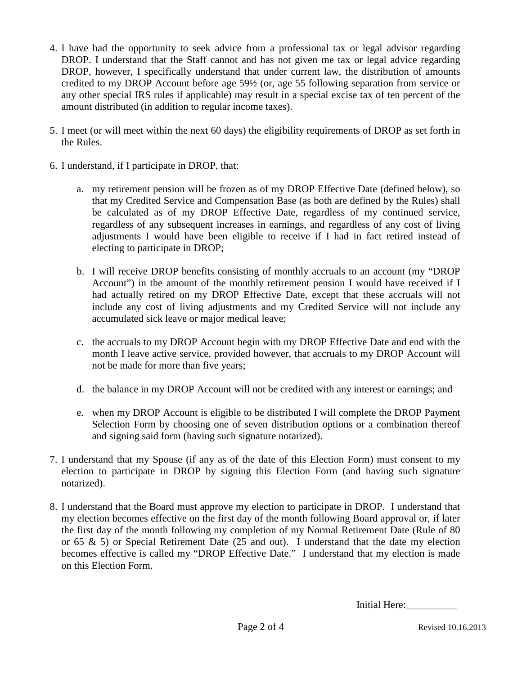- 4. I have had the opportunity to seek advice from a professional tax or legal advisor regarding DROP. I understand that the Staff cannot and has not given me tax or legal advice regarding DROP, however, I specifically understand that under current law, the distribution of amounts credited to my DROP Account before age 59½ (or, age 55 following separation from service or any other special IRS rules if applicable) may result in a special excise tax of ten percent of the amount distributed (in addition to regular income taxes).
- 5. I meet (or will meet within the next 60 days) the eligibility requirements of DROP as set forth in the Rules.
- 6. I understand, if I participate in DROP, that:
	- a. my retirement pension will be frozen as of my DROP Effective Date (defined below), so that my Credited Service and Compensation Base (as both are defined by the Rules) shall be calculated as of my DROP Effective Date, regardless of my continued service, regardless of any subsequent increases in earnings, and regardless of any cost of living adjustments I would have been eligible to receive if I had in fact retired instead of electing to participate in DROP;
	- b. I will receive DROP benefits consisting of monthly accruals to an account (my "DROP Account") in the amount of the monthly retirement pension I would have received if I had actually retired on my DROP Effective Date, except that these accruals will not include any cost of living adjustments and my Credited Service will not include any accumulated sick leave or major medical leave;
	- c. the accruals to my DROP Account begin with my DROP Effective Date and end with the month I leave active service, provided however, that accruals to my DROP Account will not be made for more than five years;
	- d. the balance in my DROP Account will not be credited with any interest or earnings; and
	- e. when my DROP Account is eligible to be distributed I will complete the DROP Payment Selection Form by choosing one of seven distribution options or a combination thereof and signing said form (having such signature notarized).
- 7. I understand that my Spouse (if any as of the date of this Election Form) must consent to my election to participate in DROP by signing this Election Form (and having such signature notarized).
- 8. I understand that the Board must approve my election to participate in DROP. I understand that my election becomes effective on the first day of the month following Board approval or, if later the first day of the month following my completion of my Normal Retirement Date (Rule of 80 or 65 & 5) or Special Retirement Date (25 and out). I understand that the date my election becomes effective is called my "DROP Effective Date." I understand that my election is made on this Election Form.

Initial Here: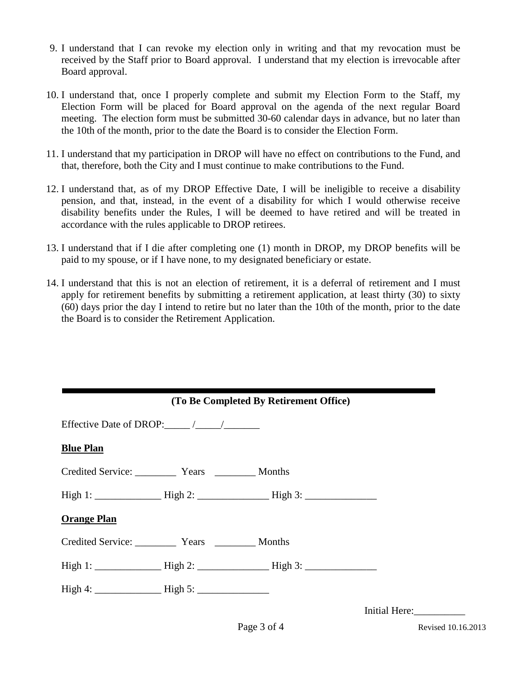- 9. I understand that I can revoke my election only in writing and that my revocation must be received by the Staff prior to Board approval. I understand that my election is irrevocable after Board approval.
- 10. I understand that, once I properly complete and submit my Election Form to the Staff, my Election Form will be placed for Board approval on the agenda of the next regular Board meeting. The election form must be submitted 30-60 calendar days in advance, but no later than the 10th of the month, prior to the date the Board is to consider the Election Form.
- 11. I understand that my participation in DROP will have no effect on contributions to the Fund, and that, therefore, both the City and I must continue to make contributions to the Fund.
- 12. I understand that, as of my DROP Effective Date, I will be ineligible to receive a disability pension, and that, instead, in the event of a disability for which I would otherwise receive disability benefits under the Rules, I will be deemed to have retired and will be treated in accordance with the rules applicable to DROP retirees.
- 13. I understand that if I die after completing one (1) month in DROP, my DROP benefits will be paid to my spouse, or if I have none, to my designated beneficiary or estate.
- 14. I understand that this is not an election of retirement, it is a deferral of retirement and I must apply for retirement benefits by submitting a retirement application, at least thirty (30) to sixty (60) days prior the day I intend to retire but no later than the 10th of the month, prior to the date the Board is to consider the Retirement Application.

| (To Be Completed By Retirement Office) |                                      |  |               |  |  |
|----------------------------------------|--------------------------------------|--|---------------|--|--|
|                                        | Effective Date of DROP: $\_\_\_\/$   |  |               |  |  |
| <b>Blue Plan</b>                       |                                      |  |               |  |  |
|                                        |                                      |  |               |  |  |
|                                        |                                      |  |               |  |  |
| <b>Orange Plan</b>                     |                                      |  |               |  |  |
|                                        | Credited Service: Years Years Months |  |               |  |  |
|                                        |                                      |  |               |  |  |
|                                        |                                      |  |               |  |  |
|                                        |                                      |  | Initial Here: |  |  |